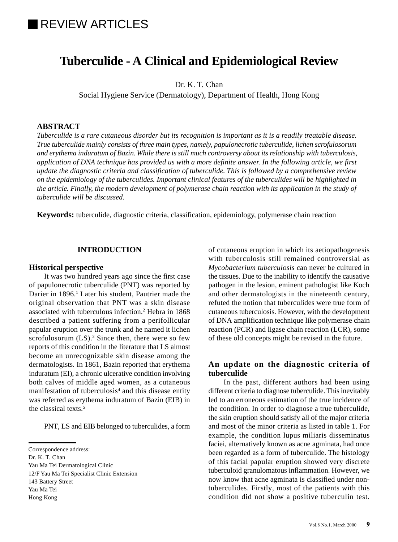# REVIEW ARTICLES

# **Tuberculide - A Clinical and Epidemiological Review**

Dr. K. T. Chan

Social Hygiene Service (Dermatology), Department of Health, Hong Kong

#### **ABSTRACT**

*Tuberculide is a rare cutaneous disorder but its recognition is important as it is a readily treatable disease. True tuberculide mainly consists of three main types, namely, papulonecrotic tuberculide, lichen scrofulosorum and erythema induratum of Bazin. While there is still much controversy about its relationship with tuberculosis, application of DNA technique has provided us with a more definite answer. In the following article, we first update the diagnostic criteria and classification of tuberculide. This is followed by a comprehensive review on the epidemiology of the tuberculides. Important clinical features of the tuberculides will be highlighted in the article. Finally, the modern development of polymerase chain reaction with its application in the study of tuberculide will be discussed.*

**Keywords:** tuberculide, diagnostic criteria, classification, epidemiology, polymerase chain reaction

#### **INTRODUCTION**

#### **Historical perspective**

It was two hundred years ago since the first case of papulonecrotic tuberculide (PNT) was reported by Darier in 1896.<sup>1</sup> Later his student, Pautrier made the original observation that PNT was a skin disease associated with tuberculous infection.2 Hebra in 1868 described a patient suffering from a perifollicular papular eruption over the trunk and he named it lichen scrofulosorum  $(LS)$ .<sup>3</sup> Since then, there were so few reports of this condition in the literature that LS almost become an unrecognizable skin disease among the dermatologists. In 1861, Bazin reported that erythema induratum (EI), a chronic ulcerative condition involving both calves of middle aged women, as a cutaneous manifestation of tuberculosis<sup>4</sup> and this disease entity was referred as erythema induratum of Bazin (EIB) in the classical texts.<sup>5</sup>

PNT, LS and EIB belonged to tuberculides, a form

12/F Yau Ma Tei Specialist Clinic Extension

Yau Ma Tei

Hong Kong

of cutaneous eruption in which its aetiopathogenesis with tuberculosis still remained controversial as *Mycobacterium tuberculosis* can never be cultured in the tissues. Due to the inability to identify the causative pathogen in the lesion, eminent pathologist like Koch and other dermatologists in the nineteenth century, refuted the notion that tuberculides were true form of cutaneous tuberculosis. However, with the development of DNA amplification technique like polymerase chain reaction (PCR) and ligase chain reaction (LCR), some of these old concepts might be revised in the future.

### **An update on the diagnostic criteria of tuberculide**

In the past, different authors had been using different criteria to diagnose tuberculide. This inevitably led to an erroneous estimation of the true incidence of the condition. In order to diagnose a true tuberculide, the skin eruption should satisfy all of the major criteria and most of the minor criteria as listed in table 1. For example, the condition lupus miliaris disseminatus faciei, alternatively known as acne agminata, had once been regarded as a form of tuberculide. The histology of this facial papular eruption showed very discrete tuberculoid granulomatous inflammation. However, we now know that acne agminata is classified under nontuberculides. Firstly, most of the patients with this condition did not show a positive tuberculin test.

Correspondence address:

Dr. K. T. Chan

Yau Ma Tei Dermatological Clinic

<sup>143</sup> Battery Street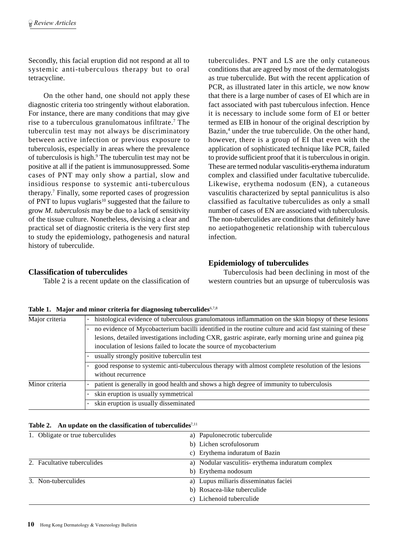Secondly, this facial eruption did not respond at all to systemic anti-tuberculous therapy but to oral tetracycline.

On the other hand, one should not apply these diagnostic criteria too stringently without elaboration. For instance, there are many conditions that may give rise to a tuberculous granulomatous infiltrate.7 The tuberculin test may not always be discriminatory between active infection or previous exposure to tuberculosis, especially in areas where the prevalence of tuberculosis is high.<sup>9</sup> The tuberculin test may not be positive at all if the patient is immunosuppressed. Some cases of PNT may only show a partial, slow and insidious response to systemic anti-tuberculous therapy.7 Finally, some reported cases of progression of PNT to lupus vuglaris<sup>10</sup> suggested that the failure to grow *M. tuberculosis* may be due to a lack of sensitivity of the tissue culture. Nonetheless, devising a clear and practical set of diagnostic criteria is the very first step to study the epidemiology, pathogenesis and natural history of tuberculide.

tuberculides. PNT and LS are the only cutaneous conditions that are agreed by most of the dermatologists as true tuberculide. But with the recent application of PCR, as illustrated later in this article, we now know that there is a large number of cases of EI which are in fact associated with past tuberculous infection. Hence it is necessary to include some form of EI or better termed as EIB in honour of the original description by Bazin,<sup>4</sup> under the true tuberculide. On the other hand, however, there is a group of EI that even with the application of sophisticated technique like PCR, failed to provide sufficient proof that it is tuberculous in origin. These are termed nodular vasculitis-erythema induratum complex and classified under facultative tuberculide. Likewise, erythema nodosum (EN), a cutaneous vasculitis characterized by septal panniculitus is also classified as facultative tuberculides as only a small number of cases of EN are associated with tuberculosis. The non-tuberculides are conditions that definitely have no aetiopathogenetic relationship with tuberculous infection.

# **Classification of tuberculides**

Table 2 is a recent update on the classification of

# **Epidemiology of tuberculides**

Tuberculosis had been declining in most of the western countries but an upsurge of tuberculosis was

| Major criteria | histological evidence of tuberculous granulomatous inflammation on the skin biopsy of these lesions                     |  |  |  |
|----------------|-------------------------------------------------------------------------------------------------------------------------|--|--|--|
|                | no evidence of Mycobacterium bacilli identified in the routine culture and acid fast staining of these                  |  |  |  |
|                | lesions, detailed investigations including CXR, gastric aspirate, early morning urine and guinea pig                    |  |  |  |
|                | inoculation of lesions failed to locate the source of mycobacterium                                                     |  |  |  |
|                | usually strongly positive tuberculin test                                                                               |  |  |  |
|                | good response to systemic anti-tuberculous therapy with almost complete resolution of the lesions<br>without recurrence |  |  |  |
|                |                                                                                                                         |  |  |  |
| Minor criteria | patient is generally in good health and shows a high degree of immunity to tuberculosis                                 |  |  |  |
|                | skin eruption is usually symmetrical                                                                                    |  |  |  |
|                | skin eruption is usually disseminated                                                                                   |  |  |  |

|  |  |  | Table 1. Major and minor criteria for diagnosing tuberculides <sup>6,7,8</sup> |
|--|--|--|--------------------------------------------------------------------------------|
|  |  |  |                                                                                |

#### Table 2. An update on the classification of tuberculides<sup>7,11</sup>

| 1. Obligate or true tuberculides | a) Papulonecrotic tuberculide                    |  |
|----------------------------------|--------------------------------------------------|--|
|                                  | b) Lichen scrofulosorum                          |  |
|                                  | c) Erythema induratum of Bazin                   |  |
| 2. Facultative tuberculides      | a) Nodular vasculitis-erythema induratum complex |  |
|                                  | b) Erythema nodosum                              |  |
| 3. Non-tuberculides              | a) Lupus miliaris disseminatus faciei            |  |
|                                  | b) Rosacea-like tuberculide                      |  |
|                                  | c) Lichenoid tuberculide                         |  |
|                                  |                                                  |  |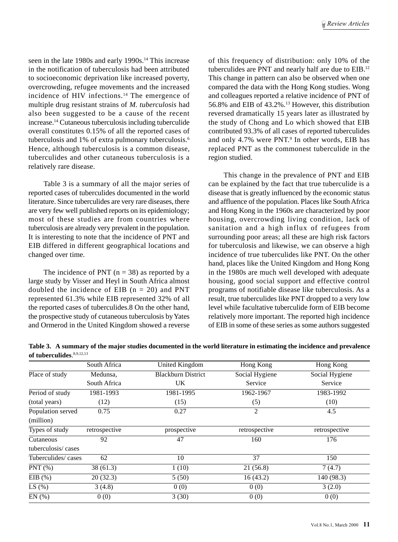seen in the late 1980s and early 1990s.<sup>14</sup> This increase in the notification of tuberculosis had been attributed to socioeconomic deprivation like increased poverty, overcrowding, refugee movements and the increased incidence of HIV infections.14 The emergence of multiple drug resistant strains of *M. tuberculosis* had also been suggested to be a cause of the recent increase.14 Cutaneous tuberculosis including tuberculide overall constitutes 0.15% of all the reported cases of tuberculosis and 1% of extra pulmonary tuberculosis.6 Hence, although tuberculosis is a common disease, tuberculides and other cutaneous tuberculosis is a relatively rare disease.

Table 3 is a summary of all the major series of reported cases of tuberculides documented in the world literature. Since tuberculides are very rare diseases, there are very few well published reports on its epidemiology; most of these studies are from countries where tuberculosis are already very prevalent in the population. It is interesting to note that the incidence of PNT and EIB differed in different geographical locations and changed over time.

The incidence of PNT ( $n = 38$ ) as reported by a large study by Visser and Heyl in South Africa almost doubled the incidence of EIB  $(n = 20)$  and PNT represented 61.3% while EIB represented 32% of all the reported cases of tuberculides.8 On the other hand, the prospective study of cutaneous tuberculosis by Yates and Ormerod in the United Kingdom showed a reverse of this frequency of distribution: only 10% of the tuberculides are PNT and nearly half are due to EIB.12 This change in pattern can also be observed when one compared the data with the Hong Kong studies. Wong and colleagues reported a relative incidence of PNT of 56.8% and EIB of 43.2%.13 However, this distribution reversed dramatically 15 years later as illustrated by the study of Chong and Lo which showed that EIB contributed 93.3% of all cases of reported tuberculides and only 4.7% were PNT.<sup>9</sup> In other words, EIB has replaced PNT as the commonest tuberculide in the region studied.

This change in the prevalence of PNT and EIB can be explained by the fact that true tuberculide is a disease that is greatly influenced by the economic status and affluence of the population. Places like South Africa and Hong Kong in the 1960s are characterized by poor housing, overcrowding living condition, lack of sanitation and a high influx of refugees from surrounding poor areas; all these are high risk factors for tuberculosis and likewise, we can observe a high incidence of true tuberculides like PNT. On the other hand, places like the United Kingdom and Hong Kong in the 1980s are much well developed with adequate housing, good social support and effective control programs of notifiable disease like tuberculosis. As a result, true tuberculides like PNT dropped to a very low level while facultative tuberculide form of EIB become relatively more important. The reported high incidence of EIB in some of these series as some authors suggested

**Table 3. A summary of the major studies documented in the world literature in estimating the incidence and prevalence of tuberculides**. 8,9,12,13

|                                | South Africa  | United Kingdom            | Hong Kong      | Hong Kong      |
|--------------------------------|---------------|---------------------------|----------------|----------------|
| Place of study                 | Medunsa,      | <b>Blackburn District</b> | Social Hygiene | Social Hygiene |
|                                | South Africa  | UK.                       | Service        | Service        |
| Period of study                | 1981-1993     | 1981-1995                 | 1962-1967      | 1983-1992      |
| (total years)                  | (12)          | (15)                      | (5)            | (10)           |
| Population served<br>(million) | 0.75          | 0.27                      | 2              | 4.5            |
| Types of study                 | retrospective | prospective               | retrospective  | retrospective  |
| Cutaneous                      | 92            | 47                        | 160            | 176            |
| tuberculosis/cases             |               |                           |                |                |
| Tuberculides/cases             | 62            | 10                        | 37             | 150            |
| $PNT(\% )$                     | 38(61.3)      | 1(10)                     | 21(56.8)       | 7(4.7)         |
| EIB $(\%)$                     | 20(32.3)      | 5(50)                     | 16(43.2)       | 140 (98.3)     |
| LS $(\%)$                      | 3(4.8)        | 0(0)                      | 0(0)           | 3(2.0)         |
| EN(%)                          | 0(0)          | 3(30)                     | 0(0)           | 0(0)           |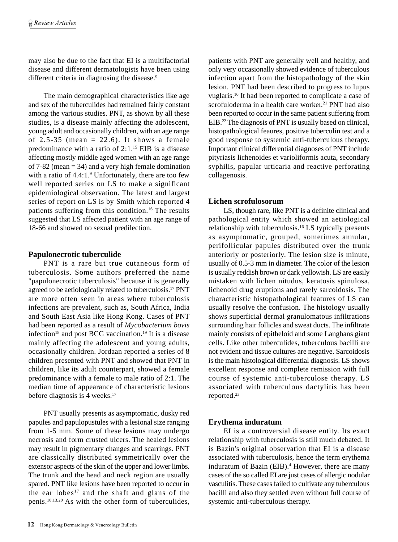may also be due to the fact that EI is a multifactorial disease and different dermatologists have been using different criteria in diagnosing the disease.<sup>9</sup>

The main demographical characteristics like age and sex of the tuberculides had remained fairly constant among the various studies. PNT, as shown by all these studies, is a disease mainly affecting the adolescent, young adult and occasionally children, with an age range of 2.5-35 (mean = 22.6). It shows a female predominance with a ratio of 2:1.15 EIB is a disease affecting mostly middle aged women with an age range of 7-82 (mean = 34) and a very high female domination with a ratio of 4.4:1.<sup>9</sup> Unfortunately, there are too few well reported series on LS to make a significant epidemiological observation. The latest and largest series of report on LS is by Smith which reported 4 patients suffering from this condition.<sup>16</sup> The results suggested that LS affected patient with an age range of 18-66 and showed no sexual predilection.

# **Papulonecrotic tuberculide**

PNT is a rare but true cutaneous form of tuberculosis. Some authors preferred the name "papulonecrotic tuberculosis" because it is generally agreed to be aetiologically related to tuberculosis.17 PNT are more often seen in areas where tuberculosis infections are prevalent, such as, South Africa, India and South East Asia like Hong Kong. Cases of PNT had been reported as a result of *Mycobacterium bovis* infection<sup>18</sup> and post BCG vaccination.<sup>19</sup> It is a disease mainly affecting the adolescent and young adults, occasionally children. Jordaan reported a series of 8 children presented with PNT and showed that PNT in children, like its adult counterpart, showed a female predominance with a female to male ratio of 2:1. The median time of appearance of characteristic lesions before diagnosis is 4 weeks.17

PNT usually presents as asymptomatic, dusky red papules and papulopustules with a lesional size ranging from 1-5 mm. Some of these lesions may undergo necrosis and form crusted ulcers. The healed lesions may result in pigmentary changes and scarrings. PNT are classically distributed symmetrically over the extensor aspects of the skin of the upper and lower limbs. The trunk and the head and neck region are usually spared. PNT like lesions have been reported to occur in the ear lobes<sup>17</sup> and the shaft and glans of the penis.10,13,20 As with the other form of tuberculides,

patients with PNT are generally well and healthy, and only very occasionally showed evidence of tuberculous infection apart from the histopathology of the skin lesion. PNT had been described to progress to lupus vuglaris.10 It had been reported to complicate a case of scrofuloderma in a health care worker.<sup>21</sup> PNT had also been reported to occur in the same patient suffering from EIB.22 The diagnosis of PNT is usually based on clinical, histopathological feaures, positive tuberculin test and a good response to systemic anti-tuberculous therapy. Important clinical differential diagnoses of PNT include pityriasis lichenoides et varioliformis acuta, secondary syphilis, papular urticaria and reactive perforating collagenosis.

# **Lichen scrofulosorum**

LS, though rare, like PNT is a definite clinical and pathological entity which showed an aetiological relationship with tuberculosis.16 LS typically presents as asymptomatic, grouped, sometimes annular, perifollicular papules distributed over the trunk anteriorly or posteriorly. The lesion size is minute, usually of 0.5-3 mm in diameter. The color of the lesion is usually reddish brown or dark yellowish. LS are easily mistaken with lichen nitudus, keratosis spinulosa, lichenoid drug eruptions and rarely sarcoidosis. The characteristic histopathological features of LS can usually resolve the confusion. The histology usually shows superficial dermal granulomatous infiltrations surrounding hair follicles and sweat ducts. The infiltrate mainly consists of epitheloid and some Langhans giant cells. Like other tuberculides, tuberculous bacilli are not evident and tissue cultures are negative. Sarcoidosis is the main histological differential diagnosis. LS shows excellent response and complete remission with full course of systemic anti-tuberculose therapy. LS associated with tuberculous dactylitis has been reported.23

# **Erythema induratum**

EI is a controversial disease entity. Its exact relationship with tuberculosis is still much debated. It is Bazin's original observation that EI is a disease associated with tuberculosis, hence the term erythema induratum of Bazin (EIB).<sup>4</sup> However, there are many cases of the so called EI are just cases of allergic nodular vasculitis. These cases failed to cultivate any tuberculous bacilli and also they settled even without full course of systemic anti-tuberculous therapy.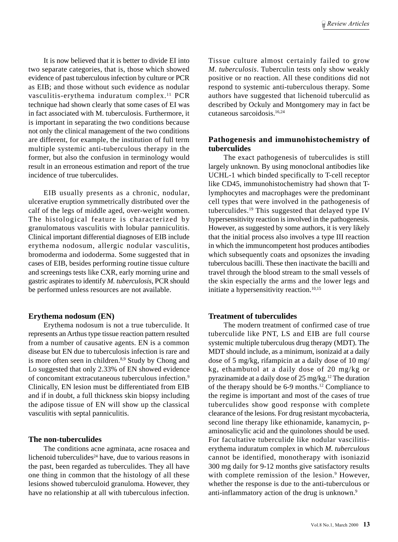It is now believed that it is better to divide EI into two separate categories, that is, those which showed evidence of past tuberculous infection by culture or PCR as EIB; and those without such evidence as nodular vasculitis-erythema induratum complex.<sup>11</sup> PCR technique had shown clearly that some cases of EI was in fact associated with M. tuberculosis. Furthermore, it is important in separating the two conditions because not only the clinical management of the two conditions are different, for example, the institution of full term multiple systemic anti-tuberculous therapy in the former, but also the confusion in terminology would result in an erroneous estimation and report of the true incidence of true tuberculides.

EIB usually presents as a chronic, nodular, ulcerative eruption symmetrically distributed over the calf of the legs of middle aged, over-weight women. The histological feature is characterized by granulomatous vasculitis with lobular panniculitis. Clinical important differential diagnoses of EIB include erythema nodosum, allergic nodular vasculitis, bromoderma and iododerma. Some suggested that in cases of EIB, besides performing routine tissue culture and screenings tests like CXR, early morning urine and gastric aspirates to identify *M. tuberculosis*, PCR should be performed unless resources are not available.

#### **Erythema nodosum (EN)**

Erythema nodosum is not a true tuberculide. It represents an Arthus type tissue reaction pattern resulted from a number of causative agents. EN is a common disease but EN due to tuberculosis infection is rare and is more often seen in children.<sup>8,9</sup> Study by Chong and Lo suggested that only 2.33% of EN showed evidence of concomitant extracutaneous tuberculous infection.9 Clinically, EN lesion must be differentiated from EIB and if in doubt, a full thickness skin biopsy including the adipose tissue of EN will show up the classical vasculitis with septal panniculitis.

#### **The non-tuberculides**

The conditions acne agminata, acne rosacea and lichenoid tuberculides<sup>24</sup> have, due to various reasons in the past, been regarded as tuberculides. They all have one thing in common that the histology of all these lesions showed tuberculoid granuloma. However, they have no relationship at all with tuberculous infection.

Tissue culture almost certainly failed to grow *M. tuberculosis*. Tuberculin tests only show weakly positive or no reaction. All these conditions did not respond to systemic anti-tuberculous therapy. Some authors have suggested that lichenoid tuberculid as described by Ockuly and Montgomery may in fact be cutaneous sarcoidosis.16,24

# **Pathogenesis and immunohistochemistry of tuberculides**

The exact pathogenesis of tuberculides is still largely unknown. By using monoclonal antibodies like UCHL-1 which binded specifically to T-cell receptor like CD45, immunohistochemistry had shown that Tlymphocytes and macrophages were the predominant cell types that were involved in the pathogenesis of tuberculides.19 This suggested that delayed type IV hypersensitivity reaction is involved in the pathogenesis. However, as suggested by some authors, it is very likely that the initial process also involves a type III reaction in which the immuncompetent host produces antibodies which subsequently coats and opsonizes the invading tuberculous bacilli. These then inactivate the bacilli and travel through the blood stream to the small vessels of the skin especially the arms and the lower legs and initiate a hypersensitivity reaction.<sup>10,15</sup>

# **Treatment of tuberculides**

The modern treatment of confirmed case of true tuberculide like PNT, LS and EIB are full course systemic multiple tuberculous drug therapy (MDT). The MDT should include, as a minimum, isonizaid at a daily dose of 5 mg/kg, rifampicin at a daily dose of 10 mg/ kg, ethambutol at a daily dose of 20 mg/kg or pyrazinamide at a daily dose of 25 mg/kg.12 The duration of the therapy should be 6-9 months.12 Compliance to the regime is important and most of the cases of true tuberculides show good response with complete clearance of the lesions. For drug resistant mycobacteria, second line therapy like ethionamide, kanamycin, paminosalicylic acid and the quinolones should be used. For facultative tuberculide like nodular vascilitiserythema induratum complex in which *M. tuberculous* cannot be identified, monotherapy with isoniazid 300 mg daily for 9-12 months give satisfactory results with complete remission of the lesion.<sup>9</sup> However, whether the response is due to the anti-tuberculous or anti-inflammatory action of the drug is unknown.9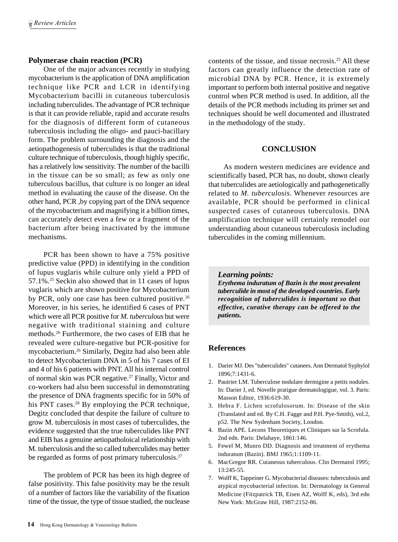### **Polymerase chain reaction (PCR)**

One of the major advances recently in studying mycobacterium is the application of DNA amplification technique like PCR and LCR in identifying Mycobacterium bacilli in cutaneous tuberculosis including tuberculides. The advantage of PCR technique is that it can provide reliable, rapid and accurate results for the diagnosis of different form of cutaneous tuberculosis including the oligo- and pauci-bacillary form. The problem surrounding the diagnosis and the aetiopathogenesis of tuberculides is that the traditional culture technique of tuberculosis, though highly specific, has a relatively low sensitivity. The number of the bacilli in the tissue can be so small; as few as only one tuberculous bacillus, that culture is no longer an ideal method in evaluating the cause of the disease. On the other hand, PCR ,by copying part of the DNA sequence of the mycobacterium and magnifying it a billion times, can accurately detect even a few or a fragment of the bacterium after being inactivated by the immune mechanisms.

PCR has been shown to have a 75% positive predictive value (PPD) in identifying in the condition of lupus vuglaris while culture only yield a PPD of 57.1%.25 Seckin also showed that in 11 cases of lupus vuglaris which are shown positive for Mycobacterium by PCR, only one case has been cultured positive.<sup>26</sup> Moreover, in his series, he identified 6 cases of PNT which were all PCR positive for *M. tuberculous* but were negative with traditional staining and culture methods.26 Furthermore, the two cases of EIB that he revealed were culture-negative but PCR-positive for mycobacterium.26 Similarly, Degitz had also been able to detect Mycobacterium DNA in 5 of his 7 cases of EI and 4 of his 6 patients with PNT. All his internal control of normal skin was PCR negative.27 Finally, Victor and co-workers had also been successful in demonstrating the presence of DNA fragments specific for in 50% of his PNT cases.<sup>28</sup> By employing the PCR technique, Degitz concluded that despite the failure of culture to grow M. tuberculosis in most cases of tuberculides, the evidence suggested that the true tuberculides like PNT and EIB has a genuine aetiopatholoical relationship with M. tuberculosis and the so called tuberculides may better be regarded as forms of post primary tuberculosis.<sup>27</sup>

The problem of PCR has been its high degree of false positivity. This false positivity may be the result of a number of factors like the variability of the fixation time of the tissue, the type of tissue studied, the nuclease

contents of the tissue, and tissue necrosis.25 All these factors can greatly influence the detection rate of microbial DNA by PCR. Hence, it is extremely important to perform both internal positive and negative control when PCR method is used. In addition, all the details of the PCR methods including its primer set and techniques should be well documented and illustrated in the methodology of the study.

### **CONCLUSION**

As modern western medicines are evidence and scientifically based, PCR has, no doubt, shown clearly that tuberculides are aetiologically and pathogenetically related to *M. tuberculosis*. Whenever resources are available, PCR should be performed in clinical suspected cases of cutaneous tuberculosis. DNA amplification technique will certainly remodel our understanding about cutaneous tuberculosis including tuberculides in the coming millennium.

#### *Learning points: Erythema induratum of Bazin is the most prevalent tuberculide in most of the developed countries. Early recognition of tuberculides is important so that effective, curative therapy can be offered to the patients.*

# **References**

- 1. Darier MJ. Des "tuberculides" cutanees. Ann Dermatol Syphylol 1896;7:1431-6.
- 2. Pautrier LM. Tuberculose nodulare dermigine a petits nodules. In: Darier J, ed. Novelle pratigue dermatologigue, vol. 3. Paris: Masson Editor, 1936:619-30.
- 3. Hebra F. Lichen scrofulosorum. In: Disease of the skin (Translated and ed. By C.H. Fagge and P.H. Pye-Smith), vol.2, p52. The New Sydenham Society, London.
- 4. Bazin APE. Lecons Theoretiques et Cliniques sur la Scrofula. 2nd edn. Paris: Delahaye, 1861:146.
- 5. Fewel M, Munro DD. Diagnosis and treatment of erythema induratum (Bazin). BMJ 1965;1:1109-11.
- 6. MacGregor RR. Cutaneous tuberculous. Clin Dermatol 1995; 13:245-55.
- 7. Wolff K, Tappeiner G. Mycobacterial diseases: tuberculosis and atypical mycobacterial infection. In: Dermatology in General Medicine (Fitzpatrick TB, Eisen AZ, Wolff K, eds), 3rd edn New York: McGraw Hill, 1987:2152-86.